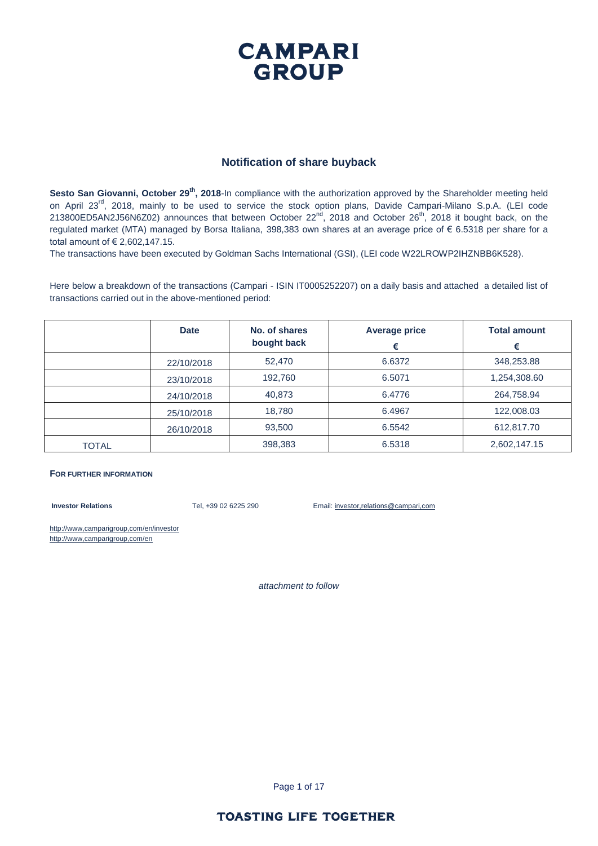### **CAMPARI GROUP**

#### **Notification of share buyback**

Sesto San Giovanni, October 29<sup>th</sup>, 2018-In compliance with the authorization approved by the Shareholder meeting held on April 23<sup>rd</sup>, 2018, mainly to be used to service the stock option plans, Davide Campari-Milano S.p.A. (LEI code 213800ED5AN2J56N6Z02) announces that between October 22<sup>nd</sup>, 2018 and October 26<sup>th</sup>, 2018 it bought back, on the regulated market (MTA) managed by Borsa Italiana, 398,383 own shares at an average price of € 6.5318 per share for a total amount of € 2,602,147.15.

The transactions have been executed by Goldman Sachs International (GSI), (LEI code W22LROWP2IHZNBB6K528).

Here below a breakdown of the transactions (Campari - ISIN IT0005252207) on a daily basis and attached a detailed list of transactions carried out in the above-mentioned period:

|              | <b>Date</b> | No. of shares<br>bought back | <b>Average price</b><br>€ | <b>Total amount</b><br>€ |
|--------------|-------------|------------------------------|---------------------------|--------------------------|
|              | 22/10/2018  | 52,470                       | 6.6372                    | 348,253.88               |
|              | 23/10/2018  | 192,760                      | 6.5071                    | 1,254,308.60             |
|              | 24/10/2018  | 40,873                       | 6.4776                    | 264,758.94               |
|              | 25/10/2018  | 18,780                       | 6.4967                    | 122,008.03               |
|              | 26/10/2018  | 93,500                       | 6.5542                    | 612,817.70               |
| <b>TOTAL</b> |             | 398,383                      | 6.5318                    | 2,602,147.15             |

#### **FOR FURTHER INFORMATION**

**Investor Relations** Tel, +39 02 6225 290 Email: investor,relations@campari,com

http://www,camparigroup,com/en/investor http://www,camparigroup,com/en

*attachment to follow*

Page 1 of 17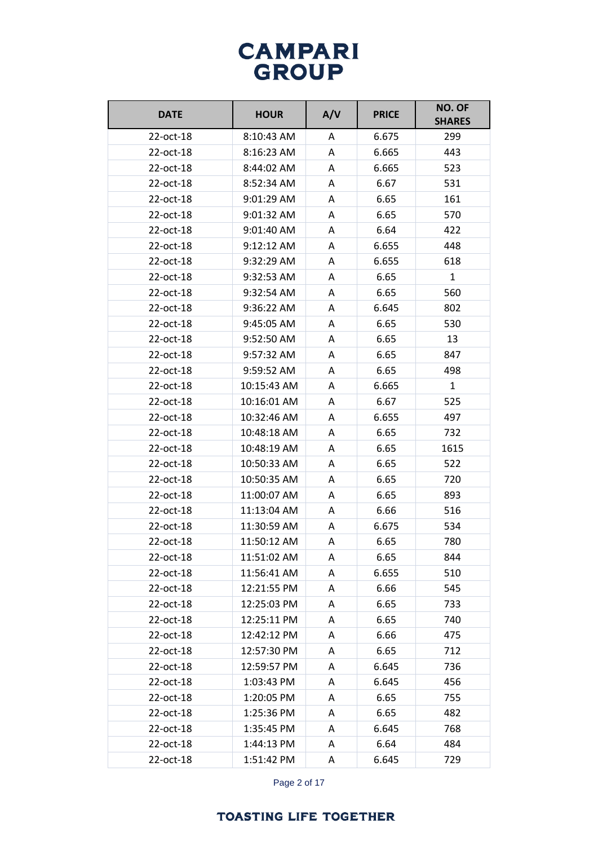| <b>DATE</b> | <b>HOUR</b> | A/V | <b>PRICE</b> | NO. OF<br><b>SHARES</b> |
|-------------|-------------|-----|--------------|-------------------------|
| 22-oct-18   | 8:10:43 AM  | A   | 6.675        | 299                     |
| 22-oct-18   | 8:16:23 AM  | A   | 6.665        | 443                     |
| 22-oct-18   | 8:44:02 AM  | A   | 6.665        | 523                     |
| 22-oct-18   | 8:52:34 AM  | A   | 6.67         | 531                     |
| 22-oct-18   | 9:01:29 AM  | A   | 6.65         | 161                     |
| 22-oct-18   | 9:01:32 AM  | A   | 6.65         | 570                     |
| 22-oct-18   | 9:01:40 AM  | A   | 6.64         | 422                     |
| 22-oct-18   | 9:12:12 AM  | A   | 6.655        | 448                     |
| 22-oct-18   | 9:32:29 AM  | A   | 6.655        | 618                     |
| 22-oct-18   | 9:32:53 AM  | A   | 6.65         | $\mathbf{1}$            |
| 22-oct-18   | 9:32:54 AM  | A   | 6.65         | 560                     |
| 22-oct-18   | 9:36:22 AM  | A   | 6.645        | 802                     |
| 22-oct-18   | 9:45:05 AM  | A   | 6.65         | 530                     |
| 22-oct-18   | 9:52:50 AM  | A   | 6.65         | 13                      |
| 22-oct-18   | 9:57:32 AM  | A   | 6.65         | 847                     |
| 22-oct-18   | 9:59:52 AM  | A   | 6.65         | 498                     |
| 22-oct-18   | 10:15:43 AM | A   | 6.665        | 1                       |
| 22-oct-18   | 10:16:01 AM | A   | 6.67         | 525                     |
| 22-oct-18   | 10:32:46 AM | A   | 6.655        | 497                     |
| 22-oct-18   | 10:48:18 AM | A   | 6.65         | 732                     |
| 22-oct-18   | 10:48:19 AM | A   | 6.65         | 1615                    |
| 22-oct-18   | 10:50:33 AM | A   | 6.65         | 522                     |
| 22-oct-18   | 10:50:35 AM | A   | 6.65         | 720                     |
| 22-oct-18   | 11:00:07 AM | A   | 6.65         | 893                     |
| 22-oct-18   | 11:13:04 AM | A   | 6.66         | 516                     |
| 22-oct-18   | 11:30:59 AM | A   | 6.675        | 534                     |
| 22-oct-18   | 11:50:12 AM | A   | 6.65         | 780                     |
| 22-oct-18   | 11:51:02 AM | A   | 6.65         | 844                     |
| 22-oct-18   | 11:56:41 AM | A   | 6.655        | 510                     |
| 22-oct-18   | 12:21:55 PM | Α   | 6.66         | 545                     |
| 22-oct-18   | 12:25:03 PM | Α   | 6.65         | 733                     |
| 22-oct-18   | 12:25:11 PM | Α   | 6.65         | 740                     |
| 22-oct-18   | 12:42:12 PM | A   | 6.66         | 475                     |
| 22-oct-18   | 12:57:30 PM | A   | 6.65         | 712                     |
| 22-oct-18   | 12:59:57 PM | A   | 6.645        | 736                     |
| 22-oct-18   | 1:03:43 PM  | A   | 6.645        | 456                     |
| 22-oct-18   | 1:20:05 PM  | Α   | 6.65         | 755                     |
| 22-oct-18   | 1:25:36 PM  | Α   | 6.65         | 482                     |
| 22-oct-18   | 1:35:45 PM  | A   | 6.645        | 768                     |
| 22-oct-18   | 1:44:13 PM  | Α   | 6.64         | 484                     |
| 22-oct-18   | 1:51:42 PM  | A   | 6.645        | 729                     |

Page 2 of 17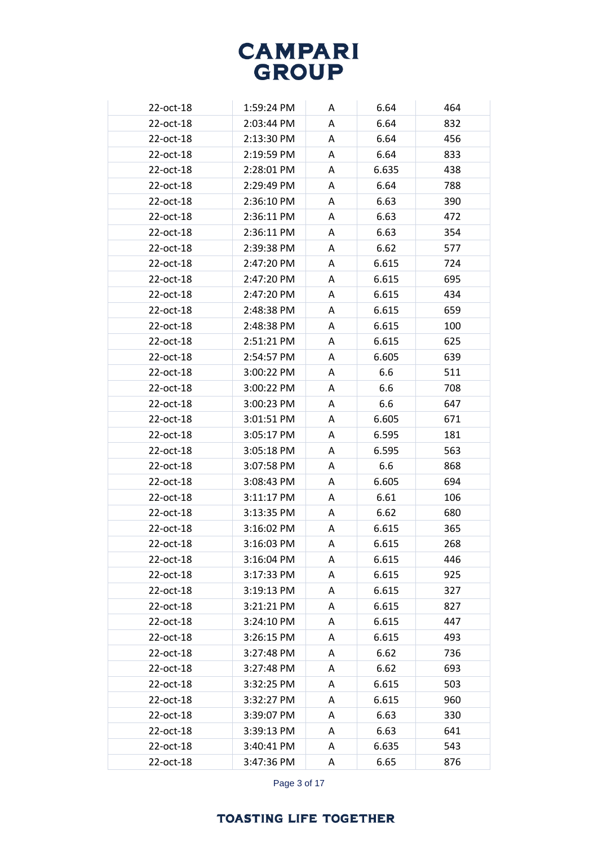| 22-oct-18 | 1:59:24 PM   | A | 6.64  | 464 |
|-----------|--------------|---|-------|-----|
| 22-oct-18 | 2:03:44 PM   | A | 6.64  | 832 |
| 22-oct-18 | 2:13:30 PM   | A | 6.64  | 456 |
| 22-oct-18 | 2:19:59 PM   | A | 6.64  | 833 |
| 22-oct-18 | 2:28:01 PM   | A | 6.635 | 438 |
| 22-oct-18 | 2:29:49 PM   | A | 6.64  | 788 |
| 22-oct-18 | 2:36:10 PM   | A | 6.63  | 390 |
| 22-oct-18 | 2:36:11 PM   | A | 6.63  | 472 |
| 22-oct-18 | 2:36:11 PM   | A | 6.63  | 354 |
| 22-oct-18 | 2:39:38 PM   | A | 6.62  | 577 |
| 22-oct-18 | 2:47:20 PM   | A | 6.615 | 724 |
| 22-oct-18 | 2:47:20 PM   | A | 6.615 | 695 |
| 22-oct-18 | 2:47:20 PM   | A | 6.615 | 434 |
| 22-oct-18 | 2:48:38 PM   | A | 6.615 | 659 |
| 22-oct-18 | 2:48:38 PM   | A | 6.615 | 100 |
| 22-oct-18 | 2:51:21 PM   | A | 6.615 | 625 |
| 22-oct-18 | 2:54:57 PM   | A | 6.605 | 639 |
| 22-oct-18 | 3:00:22 PM   | A | 6.6   | 511 |
| 22-oct-18 | 3:00:22 PM   | A | 6.6   | 708 |
| 22-oct-18 | 3:00:23 PM   | A | 6.6   | 647 |
| 22-oct-18 | 3:01:51 PM   | A | 6.605 | 671 |
| 22-oct-18 | 3:05:17 PM   | A | 6.595 | 181 |
| 22-oct-18 | $3:05:18$ PM | A | 6.595 | 563 |
| 22-oct-18 | 3:07:58 PM   | A | 6.6   | 868 |
| 22-oct-18 | 3:08:43 PM   | A | 6.605 | 694 |
| 22-oct-18 | $3:11:17$ PM | A | 6.61  | 106 |
| 22-oct-18 | $3:13:35$ PM | A | 6.62  | 680 |
| 22-oct-18 | 3:16:02 PM   | A | 6.615 | 365 |
| 22-oct-18 | 3:16:03 PM   | Α | 6.615 | 268 |
| 22-oct-18 | 3:16:04 PM   | A | 6.615 | 446 |
| 22-oct-18 | 3:17:33 PM   | A | 6.615 | 925 |
| 22-oct-18 | 3:19:13 PM   | A | 6.615 | 327 |
| 22-oct-18 | 3:21:21 PM   | A | 6.615 | 827 |
| 22-oct-18 | 3:24:10 PM   | A | 6.615 | 447 |
| 22-oct-18 | 3:26:15 PM   | A | 6.615 | 493 |
| 22-oct-18 | 3:27:48 PM   | A | 6.62  | 736 |
| 22-oct-18 | 3:27:48 PM   | A | 6.62  | 693 |
| 22-oct-18 | 3:32:25 PM   | A | 6.615 | 503 |
| 22-oct-18 | 3:32:27 PM   | A | 6.615 | 960 |
| 22-oct-18 | 3:39:07 PM   | A | 6.63  | 330 |
| 22-oct-18 | 3:39:13 PM   | A | 6.63  | 641 |
| 22-oct-18 | 3:40:41 PM   | A | 6.635 | 543 |
| 22-oct-18 | 3:47:36 PM   | A | 6.65  | 876 |
|           |              |   |       |     |

Page 3 of 17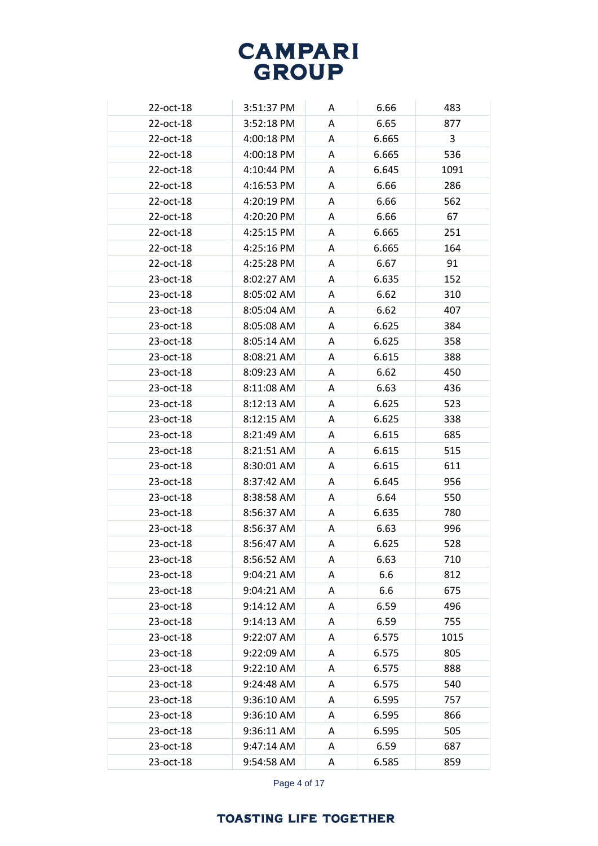| 22-oct-18 | 3:51:37 PM | A | 6.66  | 483  |
|-----------|------------|---|-------|------|
| 22-oct-18 | 3:52:18 PM | A | 6.65  | 877  |
| 22-oct-18 | 4:00:18 PM | A | 6.665 | 3    |
| 22-oct-18 | 4:00:18 PM | Α | 6.665 | 536  |
| 22-oct-18 | 4:10:44 PM | A | 6.645 | 1091 |
| 22-oct-18 | 4:16:53 PM | Α | 6.66  | 286  |
| 22-oct-18 | 4:20:19 PM | Α | 6.66  | 562  |
| 22-oct-18 | 4:20:20 PM | A | 6.66  | 67   |
| 22-oct-18 | 4:25:15 PM | Α | 6.665 | 251  |
| 22-oct-18 | 4:25:16 PM | A | 6.665 | 164  |
| 22-oct-18 | 4:25:28 PM | A | 6.67  | 91   |
| 23-oct-18 | 8:02:27 AM | A | 6.635 | 152  |
| 23-oct-18 | 8:05:02 AM | A | 6.62  | 310  |
| 23-oct-18 | 8:05:04 AM | A | 6.62  | 407  |
| 23-oct-18 | 8:05:08 AM | A | 6.625 | 384  |
| 23-oct-18 | 8:05:14 AM | Α | 6.625 | 358  |
| 23-oct-18 | 8:08:21 AM | A | 6.615 | 388  |
| 23-oct-18 | 8:09:23 AM | Α | 6.62  | 450  |
| 23-oct-18 | 8:11:08 AM | A | 6.63  | 436  |
| 23-oct-18 | 8:12:13 AM | A | 6.625 | 523  |
| 23-oct-18 | 8:12:15 AM | Α | 6.625 | 338  |
| 23-oct-18 | 8:21:49 AM | A | 6.615 | 685  |
| 23-oct-18 | 8:21:51 AM | A | 6.615 | 515  |
| 23-oct-18 | 8:30:01 AM | A | 6.615 | 611  |
| 23-oct-18 | 8:37:42 AM | A | 6.645 | 956  |
| 23-oct-18 | 8:38:58 AM | Α | 6.64  | 550  |
| 23-oct-18 | 8:56:37 AM | A | 6.635 | 780  |
| 23-oct-18 | 8:56:37 AM | Α | 6.63  | 996  |
| 23-oct-18 | 8:56:47 AM | A | 6.625 | 528  |
| 23-oct-18 | 8:56:52 AM | A | 6.63  | 710  |
| 23-oct-18 | 9:04:21 AM | A | 6.6   | 812  |
| 23-oct-18 | 9:04:21 AM | A | 6.6   | 675  |
| 23-oct-18 | 9:14:12 AM | Α | 6.59  | 496  |
| 23-oct-18 | 9:14:13 AM | A | 6.59  | 755  |
| 23-oct-18 | 9:22:07 AM | Α | 6.575 | 1015 |
| 23-oct-18 | 9:22:09 AM | Α | 6.575 | 805  |
| 23-oct-18 | 9:22:10 AM | Α | 6.575 | 888  |
| 23-oct-18 | 9:24:48 AM | Α | 6.575 | 540  |
| 23-oct-18 | 9:36:10 AM | A | 6.595 | 757  |
| 23-oct-18 | 9:36:10 AM | Α | 6.595 | 866  |
| 23-oct-18 | 9:36:11 AM | Α | 6.595 | 505  |
| 23-oct-18 | 9:47:14 AM | A | 6.59  | 687  |
| 23-oct-18 | 9:54:58 AM | Α | 6.585 | 859  |

Page 4 of 17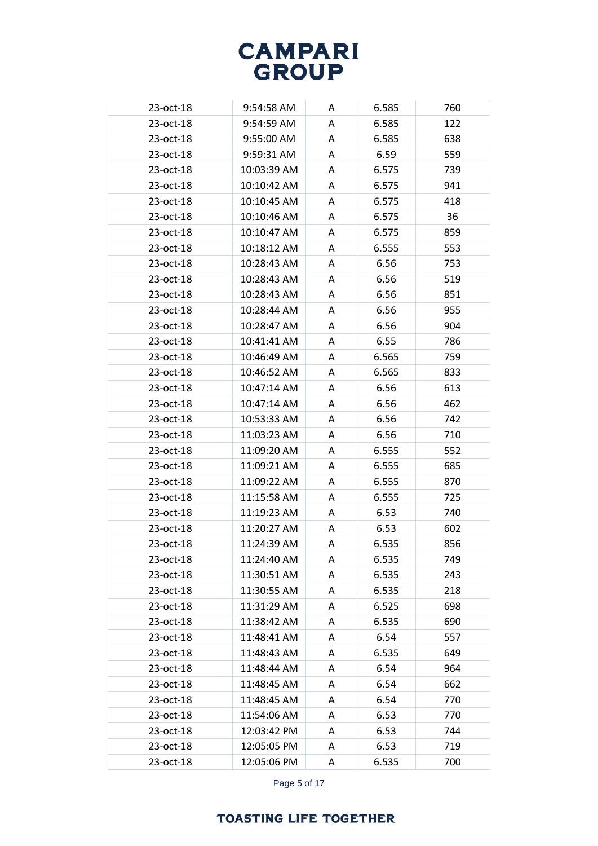| 23-oct-18 | 9:54:58 AM  | A | 6.585 | 760 |
|-----------|-------------|---|-------|-----|
| 23-oct-18 | 9:54:59 AM  | A | 6.585 | 122 |
| 23-oct-18 | 9:55:00 AM  | A | 6.585 | 638 |
| 23-oct-18 | 9:59:31 AM  | A | 6.59  | 559 |
| 23-oct-18 | 10:03:39 AM | A | 6.575 | 739 |
| 23-oct-18 | 10:10:42 AM | A | 6.575 | 941 |
| 23-oct-18 | 10:10:45 AM | A | 6.575 | 418 |
| 23-oct-18 | 10:10:46 AM | A | 6.575 | 36  |
| 23-oct-18 | 10:10:47 AM | A | 6.575 | 859 |
| 23-oct-18 | 10:18:12 AM | A | 6.555 | 553 |
| 23-oct-18 | 10:28:43 AM | A | 6.56  | 753 |
| 23-oct-18 | 10:28:43 AM | A | 6.56  | 519 |
| 23-oct-18 | 10:28:43 AM | A | 6.56  | 851 |
| 23-oct-18 | 10:28:44 AM | A | 6.56  | 955 |
| 23-oct-18 | 10:28:47 AM | A | 6.56  | 904 |
| 23-oct-18 | 10:41:41 AM | A | 6.55  | 786 |
| 23-oct-18 | 10:46:49 AM | A | 6.565 | 759 |
| 23-oct-18 | 10:46:52 AM | A | 6.565 | 833 |
| 23-oct-18 | 10:47:14 AM | A | 6.56  | 613 |
| 23-oct-18 | 10:47:14 AM | A | 6.56  | 462 |
| 23-oct-18 | 10:53:33 AM | A | 6.56  | 742 |
| 23-oct-18 | 11:03:23 AM | A | 6.56  | 710 |
| 23-oct-18 | 11:09:20 AM | A | 6.555 | 552 |
| 23-oct-18 | 11:09:21 AM | A | 6.555 | 685 |
| 23-oct-18 | 11:09:22 AM | A | 6.555 | 870 |
| 23-oct-18 | 11:15:58 AM | A | 6.555 | 725 |
| 23-oct-18 | 11:19:23 AM | A | 6.53  | 740 |
| 23-oct-18 | 11:20:27 AM | A | 6.53  | 602 |
| 23-oct-18 | 11:24:39 AM | A | 6.535 | 856 |
| 23-oct-18 | 11:24:40 AM | A | 6.535 | 749 |
| 23-oct-18 | 11:30:51 AM | A | 6.535 | 243 |
| 23-oct-18 | 11:30:55 AM | A | 6.535 | 218 |
| 23-oct-18 | 11:31:29 AM | A | 6.525 | 698 |
| 23-oct-18 | 11:38:42 AM | A | 6.535 | 690 |
| 23-oct-18 | 11:48:41 AM | A | 6.54  | 557 |
| 23-oct-18 | 11:48:43 AM | A | 6.535 | 649 |
| 23-oct-18 | 11:48:44 AM | A | 6.54  | 964 |
| 23-oct-18 | 11:48:45 AM | A | 6.54  | 662 |
| 23-oct-18 | 11:48:45 AM | A | 6.54  | 770 |
| 23-oct-18 | 11:54:06 AM | Α | 6.53  | 770 |
| 23-oct-18 | 12:03:42 PM | A | 6.53  | 744 |
| 23-oct-18 | 12:05:05 PM | A | 6.53  | 719 |
| 23-oct-18 | 12:05:06 PM | A | 6.535 | 700 |

Page 5 of 17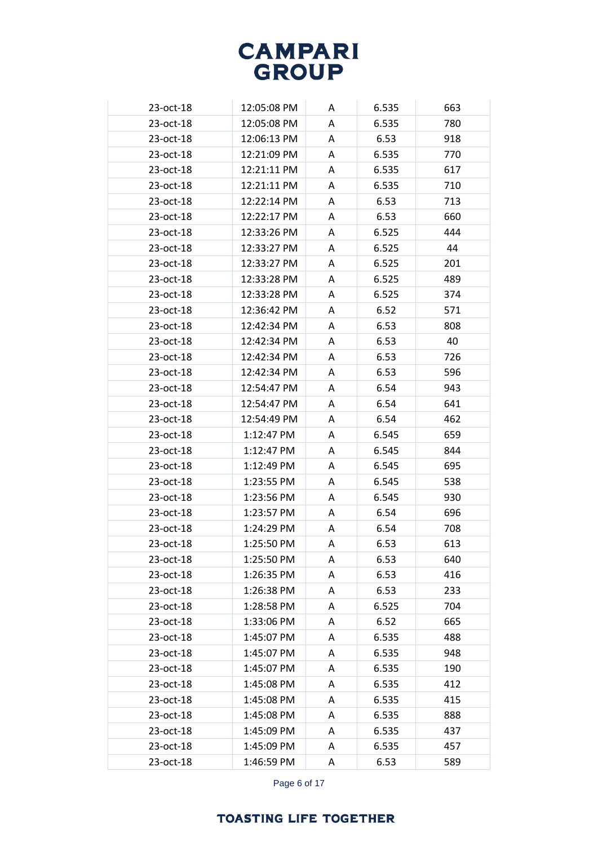| 23-oct-18 | 12:05:08 PM | A | 6.535 | 663 |
|-----------|-------------|---|-------|-----|
| 23-oct-18 | 12:05:08 PM | Α | 6.535 | 780 |
| 23-oct-18 | 12:06:13 PM | Α | 6.53  | 918 |
| 23-oct-18 | 12:21:09 PM | A | 6.535 | 770 |
| 23-oct-18 | 12:21:11 PM | A | 6.535 | 617 |
| 23-oct-18 | 12:21:11 PM | Α | 6.535 | 710 |
| 23-oct-18 | 12:22:14 PM | A | 6.53  | 713 |
| 23-oct-18 | 12:22:17 PM | Α | 6.53  | 660 |
| 23-oct-18 | 12:33:26 PM | A | 6.525 | 444 |
| 23-oct-18 | 12:33:27 PM | A | 6.525 | 44  |
| 23-oct-18 | 12:33:27 PM | Α | 6.525 | 201 |
| 23-oct-18 | 12:33:28 PM | Α | 6.525 | 489 |
| 23-oct-18 | 12:33:28 PM | Α | 6.525 | 374 |
| 23-oct-18 | 12:36:42 PM | A | 6.52  | 571 |
| 23-oct-18 | 12:42:34 PM | Α | 6.53  | 808 |
| 23-oct-18 | 12:42:34 PM | A | 6.53  | 40  |
| 23-oct-18 | 12:42:34 PM | A | 6.53  | 726 |
| 23-oct-18 | 12:42:34 PM | Α | 6.53  | 596 |
| 23-oct-18 | 12:54:47 PM | A | 6.54  | 943 |
| 23-oct-18 | 12:54:47 PM | Α | 6.54  | 641 |
| 23-oct-18 | 12:54:49 PM | A | 6.54  | 462 |
| 23-oct-18 | 1:12:47 PM  | A | 6.545 | 659 |
| 23-oct-18 | 1:12:47 PM  | A | 6.545 | 844 |
| 23-oct-18 | 1:12:49 PM  | Α | 6.545 | 695 |
| 23-oct-18 | 1:23:55 PM  | A | 6.545 | 538 |
| 23-oct-18 | 1:23:56 PM  | A | 6.545 | 930 |
| 23-oct-18 | 1:23:57 PM  | Α | 6.54  | 696 |
| 23-oct-18 | 1:24:29 PM  | Α | 6.54  | 708 |
| 23-oct-18 | 1:25:50 PM  | Α | 6.53  | 613 |
| 23-oct-18 | 1:25:50 PM  | A | 6.53  | 640 |
| 23-oct-18 | 1:26:35 PM  | A | 6.53  | 416 |
| 23-oct-18 | 1:26:38 PM  | Α | 6.53  | 233 |
| 23-oct-18 | 1:28:58 PM  | Α | 6.525 | 704 |
| 23-oct-18 | 1:33:06 PM  | Α | 6.52  | 665 |
| 23-oct-18 | 1:45:07 PM  | Α | 6.535 | 488 |
| 23-oct-18 | 1:45:07 PM  | A | 6.535 | 948 |
| 23-oct-18 | 1:45:07 PM  | A | 6.535 | 190 |
| 23-oct-18 | 1:45:08 PM  | Α | 6.535 | 412 |
| 23-oct-18 | 1:45:08 PM  | Α | 6.535 | 415 |
| 23-oct-18 | 1:45:08 PM  | Α | 6.535 | 888 |
| 23-oct-18 | 1:45:09 PM  | A | 6.535 | 437 |
| 23-oct-18 | 1:45:09 PM  | Α | 6.535 | 457 |
| 23-oct-18 | 1:46:59 PM  | Α | 6.53  | 589 |

Page 6 of 17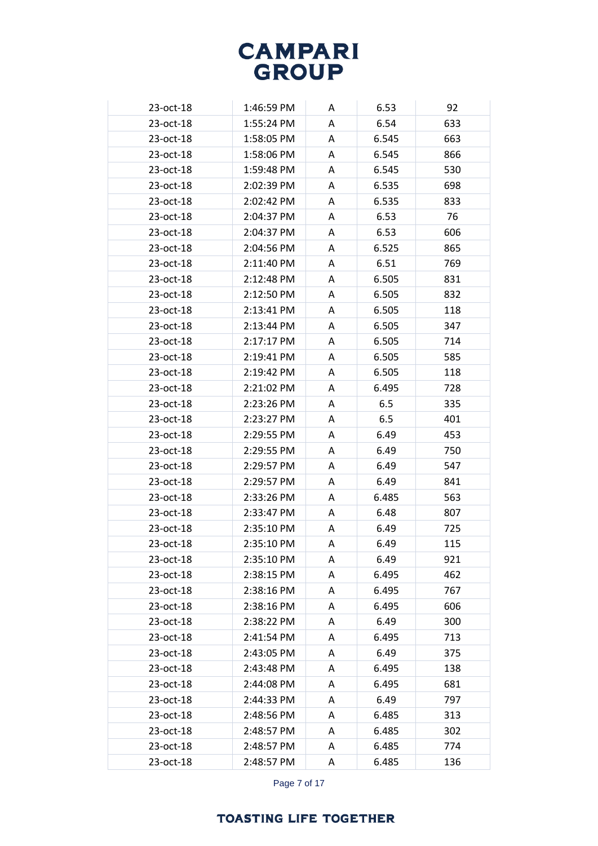| 23-oct-18 | 1:46:59 PM | A | 6.53  | 92  |
|-----------|------------|---|-------|-----|
| 23-oct-18 | 1:55:24 PM | A | 6.54  | 633 |
| 23-oct-18 | 1:58:05 PM | Α | 6.545 | 663 |
| 23-oct-18 | 1:58:06 PM | A | 6.545 | 866 |
| 23-oct-18 | 1:59:48 PM | A | 6.545 | 530 |
| 23-oct-18 | 2:02:39 PM | Α | 6.535 | 698 |
| 23-oct-18 | 2:02:42 PM | A | 6.535 | 833 |
| 23-oct-18 | 2:04:37 PM | A | 6.53  | 76  |
| 23-oct-18 | 2:04:37 PM | A | 6.53  | 606 |
| 23-oct-18 | 2:04:56 PM | A | 6.525 | 865 |
| 23-oct-18 | 2:11:40 PM | Α | 6.51  | 769 |
| 23-oct-18 | 2:12:48 PM | A | 6.505 | 831 |
| 23-oct-18 | 2:12:50 PM | A | 6.505 | 832 |
| 23-oct-18 | 2:13:41 PM | Α | 6.505 | 118 |
| 23-oct-18 | 2:13:44 PM | A | 6.505 | 347 |
| 23-oct-18 | 2:17:17 PM | A | 6.505 | 714 |
| 23-oct-18 | 2:19:41 PM | A | 6.505 | 585 |
| 23-oct-18 | 2:19:42 PM | A | 6.505 | 118 |
| 23-oct-18 | 2:21:02 PM | A | 6.495 | 728 |
| 23-oct-18 | 2:23:26 PM | Α | 6.5   | 335 |
| 23-oct-18 | 2:23:27 PM | Α | 6.5   | 401 |
| 23-oct-18 | 2:29:55 PM | A | 6.49  | 453 |
| 23-oct-18 | 2:29:55 PM | Α | 6.49  | 750 |
| 23-oct-18 | 2:29:57 PM | Α | 6.49  | 547 |
| 23-oct-18 | 2:29:57 PM | A | 6.49  | 841 |
| 23-oct-18 | 2:33:26 PM | A | 6.485 | 563 |
| 23-oct-18 | 2:33:47 PM | A | 6.48  | 807 |
| 23-oct-18 | 2:35:10 PM | A | 6.49  | 725 |
| 23-oct-18 | 2:35:10 PM | A | 6.49  | 115 |
| 23-oct-18 | 2:35:10 PM | A | 6.49  | 921 |
| 23-oct-18 | 2:38:15 PM | A | 6.495 | 462 |
| 23-oct-18 | 2:38:16 PM | A | 6.495 | 767 |
| 23-oct-18 | 2:38:16 PM | Α | 6.495 | 606 |
| 23-oct-18 | 2:38:22 PM | A | 6.49  | 300 |
| 23-oct-18 | 2:41:54 PM | Α | 6.495 | 713 |
| 23-oct-18 | 2:43:05 PM | A | 6.49  | 375 |
| 23-oct-18 | 2:43:48 PM | A | 6.495 | 138 |
| 23-oct-18 | 2:44:08 PM | Α | 6.495 | 681 |
| 23-oct-18 | 2:44:33 PM | Α | 6.49  | 797 |
| 23-oct-18 | 2:48:56 PM | Α | 6.485 | 313 |
| 23-oct-18 | 2:48:57 PM | A | 6.485 | 302 |
| 23-oct-18 | 2:48:57 PM | Α | 6.485 | 774 |
| 23-oct-18 | 2:48:57 PM | Α | 6.485 | 136 |

Page 7 of 17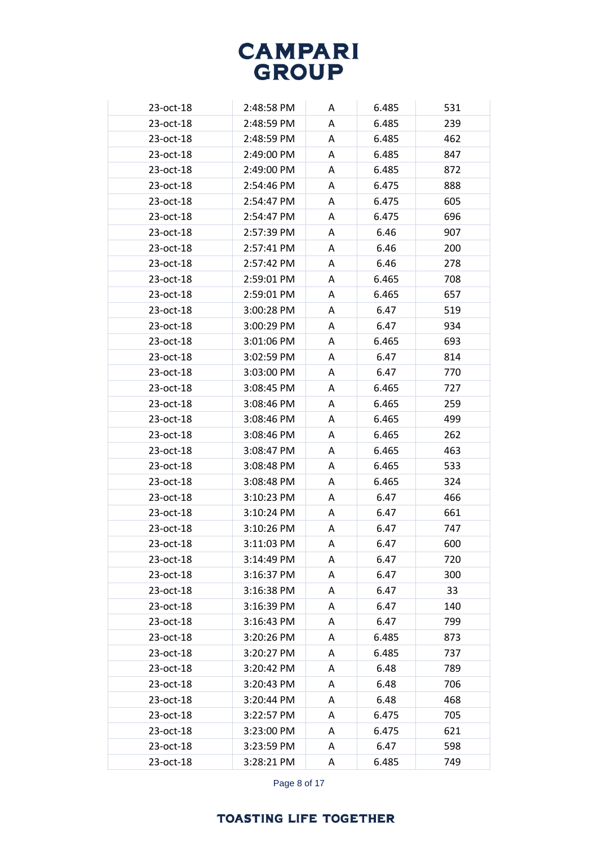| 23-oct-18 | 2:48:58 PM | A | 6.485 | 531 |
|-----------|------------|---|-------|-----|
| 23-oct-18 | 2:48:59 PM | A | 6.485 | 239 |
| 23-oct-18 | 2:48:59 PM | A | 6.485 | 462 |
| 23-oct-18 | 2:49:00 PM | A | 6.485 | 847 |
| 23-oct-18 | 2:49:00 PM | A | 6.485 | 872 |
| 23-oct-18 | 2:54:46 PM | A | 6.475 | 888 |
| 23-oct-18 | 2:54:47 PM | A | 6.475 | 605 |
| 23-oct-18 | 2:54:47 PM | A | 6.475 | 696 |
| 23-oct-18 | 2:57:39 PM | A | 6.46  | 907 |
| 23-oct-18 | 2:57:41 PM | A | 6.46  | 200 |
| 23-oct-18 | 2:57:42 PM | A | 6.46  | 278 |
| 23-oct-18 | 2:59:01 PM | A | 6.465 | 708 |
| 23-oct-18 | 2:59:01 PM | A | 6.465 | 657 |
| 23-oct-18 | 3:00:28 PM | A | 6.47  | 519 |
| 23-oct-18 | 3:00:29 PM | A | 6.47  | 934 |
| 23-oct-18 | 3:01:06 PM | Α | 6.465 | 693 |
| 23-oct-18 | 3:02:59 PM | A | 6.47  | 814 |
| 23-oct-18 | 3:03:00 PM | A | 6.47  | 770 |
| 23-oct-18 | 3:08:45 PM | A | 6.465 | 727 |
| 23-oct-18 | 3:08:46 PM | A | 6.465 | 259 |
| 23-oct-18 | 3:08:46 PM | A | 6.465 | 499 |
| 23-oct-18 | 3:08:46 PM | A | 6.465 | 262 |
| 23-oct-18 | 3:08:47 PM | A | 6.465 | 463 |
| 23-oct-18 | 3:08:48 PM | A | 6.465 | 533 |
| 23-oct-18 | 3:08:48 PM | Α | 6.465 | 324 |
| 23-oct-18 | 3:10:23 PM | A | 6.47  | 466 |
| 23-oct-18 | 3:10:24 PM | A | 6.47  | 661 |
| 23-oct-18 | 3:10:26 PM | A | 6.47  | 747 |
| 23-oct-18 | 3:11:03 PM | A | 6.47  | 600 |
| 23-oct-18 | 3:14:49 PM | A | 6.47  | 720 |
| 23-oct-18 | 3:16:37 PM | Α | 6.47  | 300 |
| 23-oct-18 | 3:16:38 PM | A | 6.47  | 33  |
| 23-oct-18 | 3:16:39 PM | A | 6.47  | 140 |
| 23-oct-18 | 3:16:43 PM | A | 6.47  | 799 |
| 23-oct-18 | 3:20:26 PM | A | 6.485 | 873 |
| 23-oct-18 | 3:20:27 PM | A | 6.485 | 737 |
| 23-oct-18 | 3:20:42 PM | A | 6.48  | 789 |
| 23-oct-18 | 3:20:43 PM | A | 6.48  | 706 |
| 23-oct-18 | 3:20:44 PM | A | 6.48  | 468 |
| 23-oct-18 | 3:22:57 PM | Α | 6.475 | 705 |
| 23-oct-18 | 3:23:00 PM | A | 6.475 | 621 |
| 23-oct-18 | 3:23:59 PM | Α | 6.47  | 598 |
| 23-oct-18 | 3:28:21 PM | Α | 6.485 | 749 |

Page 8 of 17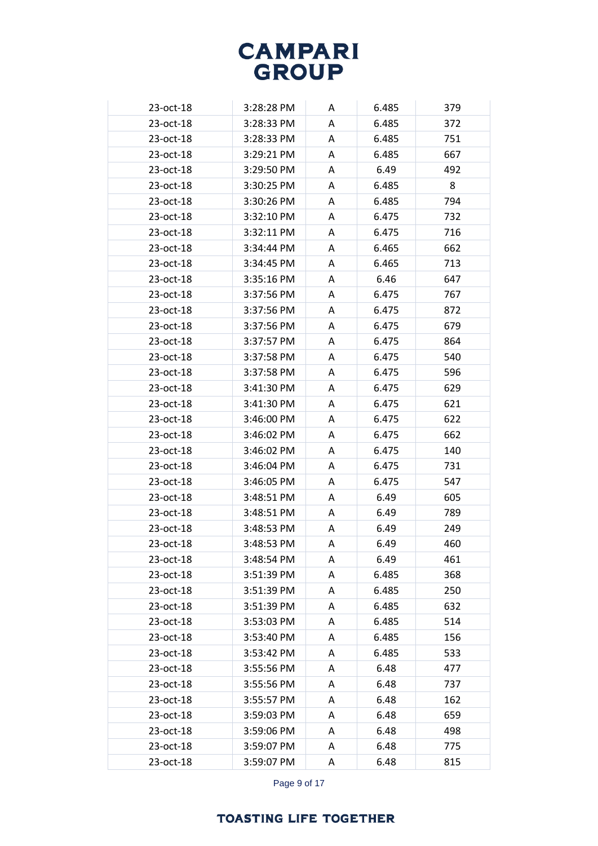| 23-oct-18 | 3:28:28 PM | A | 6.485 | 379 |
|-----------|------------|---|-------|-----|
| 23-oct-18 | 3:28:33 PM | Α | 6.485 | 372 |
| 23-oct-18 | 3:28:33 PM | Α | 6.485 | 751 |
| 23-oct-18 | 3:29:21 PM | A | 6.485 | 667 |
| 23-oct-18 | 3:29:50 PM | A | 6.49  | 492 |
| 23-oct-18 | 3:30:25 PM | Α | 6.485 | 8   |
| 23-oct-18 | 3:30:26 PM | A | 6.485 | 794 |
| 23-oct-18 | 3:32:10 PM | A | 6.475 | 732 |
| 23-oct-18 | 3:32:11 PM | A | 6.475 | 716 |
| 23-oct-18 | 3:34:44 PM | A | 6.465 | 662 |
| 23-oct-18 | 3:34:45 PM | Α | 6.465 | 713 |
| 23-oct-18 | 3:35:16 PM | Α | 6.46  | 647 |
| 23-oct-18 | 3:37:56 PM | A | 6.475 | 767 |
| 23-oct-18 | 3:37:56 PM | A | 6.475 | 872 |
| 23-oct-18 | 3:37:56 PM | A | 6.475 | 679 |
| 23-oct-18 | 3:37:57 PM | A | 6.475 | 864 |
| 23-oct-18 | 3:37:58 PM | A | 6.475 | 540 |
| 23-oct-18 | 3:37:58 PM | A | 6.475 | 596 |
| 23-oct-18 | 3:41:30 PM | Α | 6.475 | 629 |
| 23-oct-18 | 3:41:30 PM | Α | 6.475 | 621 |
| 23-oct-18 | 3:46:00 PM | Α | 6.475 | 622 |
| 23-oct-18 | 3:46:02 PM | A | 6.475 | 662 |
| 23-oct-18 | 3:46:02 PM | A | 6.475 | 140 |
| 23-oct-18 | 3:46:04 PM | Α | 6.475 | 731 |
| 23-oct-18 | 3:46:05 PM | A | 6.475 | 547 |
| 23-oct-18 | 3:48:51 PM | A | 6.49  | 605 |
| 23-oct-18 | 3:48:51 PM | Α | 6.49  | 789 |
| 23-oct-18 | 3:48:53 PM | Α | 6.49  | 249 |
| 23-oct-18 | 3:48:53 PM | Α | 6.49  | 460 |
| 23-oct-18 | 3:48:54 PM | A | 6.49  | 461 |
| 23-oct-18 | 3:51:39 PM | A | 6.485 | 368 |
| 23-oct-18 | 3:51:39 PM | A | 6.485 | 250 |
| 23-oct-18 | 3:51:39 PM | Α | 6.485 | 632 |
| 23-oct-18 | 3:53:03 PM | A | 6.485 | 514 |
| 23-oct-18 | 3:53:40 PM | Α | 6.485 | 156 |
| 23-oct-18 | 3:53:42 PM | A | 6.485 | 533 |
| 23-oct-18 | 3:55:56 PM | A | 6.48  | 477 |
| 23-oct-18 | 3:55:56 PM | Α | 6.48  | 737 |
| 23-oct-18 | 3:55:57 PM | Α | 6.48  | 162 |
| 23-oct-18 | 3:59:03 PM | Α | 6.48  | 659 |
| 23-oct-18 | 3:59:06 PM | Α | 6.48  | 498 |
| 23-oct-18 | 3:59:07 PM | Α | 6.48  | 775 |
| 23-oct-18 | 3:59:07 PM | Α | 6.48  | 815 |

Page 9 of 17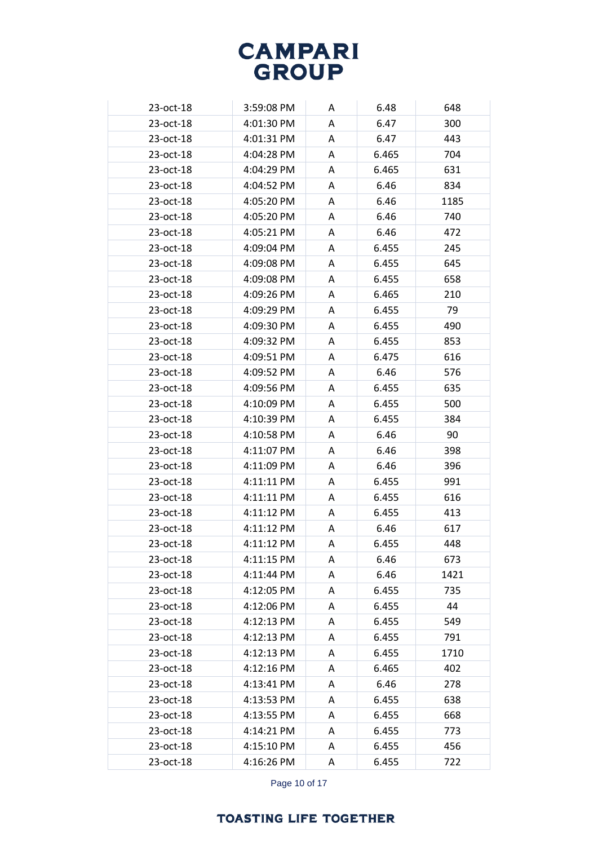| 23-oct-18 | 3:59:08 PM | A | 6.48  | 648  |
|-----------|------------|---|-------|------|
| 23-oct-18 | 4:01:30 PM | A | 6.47  | 300  |
| 23-oct-18 | 4:01:31 PM | A | 6.47  | 443  |
| 23-oct-18 | 4:04:28 PM | Α | 6.465 | 704  |
| 23-oct-18 | 4:04:29 PM | A | 6.465 | 631  |
| 23-oct-18 | 4:04:52 PM | A | 6.46  | 834  |
| 23-oct-18 | 4:05:20 PM | A | 6.46  | 1185 |
| 23-oct-18 | 4:05:20 PM | A | 6.46  | 740  |
| 23-oct-18 | 4:05:21 PM | Α | 6.46  | 472  |
| 23-oct-18 | 4:09:04 PM | Α | 6.455 | 245  |
| 23-oct-18 | 4:09:08 PM | A | 6.455 | 645  |
| 23-oct-18 | 4:09:08 PM | A | 6.455 | 658  |
| 23-oct-18 | 4:09:26 PM | Α | 6.465 | 210  |
| 23-oct-18 | 4:09:29 PM | A | 6.455 | 79   |
| 23-oct-18 | 4:09:30 PM | A | 6.455 | 490  |
| 23-oct-18 | 4:09:32 PM | Α | 6.455 | 853  |
| 23-oct-18 | 4:09:51 PM | A | 6.475 | 616  |
| 23-oct-18 | 4:09:52 PM | A | 6.46  | 576  |
| 23-oct-18 | 4:09:56 PM | A | 6.455 | 635  |
| 23-oct-18 | 4:10:09 PM | A | 6.455 | 500  |
| 23-oct-18 | 4:10:39 PM | A | 6.455 | 384  |
| 23-oct-18 | 4:10:58 PM | A | 6.46  | 90   |
| 23-oct-18 | 4:11:07 PM | Α | 6.46  | 398  |
| 23-oct-18 | 4:11:09 PM | A | 6.46  | 396  |
| 23-oct-18 | 4:11:11 PM | A | 6.455 | 991  |
| 23-oct-18 | 4:11:11 PM | A | 6.455 | 616  |
| 23-oct-18 | 4:11:12 PM | A | 6.455 | 413  |
| 23-oct-18 | 4:11:12 PM | Α | 6.46  | 617  |
| 23-oct-18 | 4:11:12 PM | A | 6.455 | 448  |
| 23-oct-18 | 4:11:15 PM | A | 6.46  | 673  |
| 23-oct-18 | 4:11:44 PM | Α | 6.46  | 1421 |
| 23-oct-18 | 4:12:05 PM | Α | 6.455 | 735  |
| 23-oct-18 | 4:12:06 PM | A | 6.455 | 44   |
| 23-oct-18 | 4:12:13 PM | A | 6.455 | 549  |
| 23-oct-18 | 4:12:13 PM | Α | 6.455 | 791  |
| 23-oct-18 | 4:12:13 PM | Α | 6.455 | 1710 |
| 23-oct-18 | 4:12:16 PM | Α | 6.465 | 402  |
| 23-oct-18 | 4:13:41 PM | A | 6.46  | 278  |
| 23-oct-18 | 4:13:53 PM | A | 6.455 | 638  |
| 23-oct-18 | 4:13:55 PM | Α | 6.455 | 668  |
| 23-oct-18 | 4:14:21 PM | A | 6.455 | 773  |
| 23-oct-18 | 4:15:10 PM | Α | 6.455 | 456  |
| 23-oct-18 | 4:16:26 PM | Α | 6.455 | 722  |

Page 10 of 17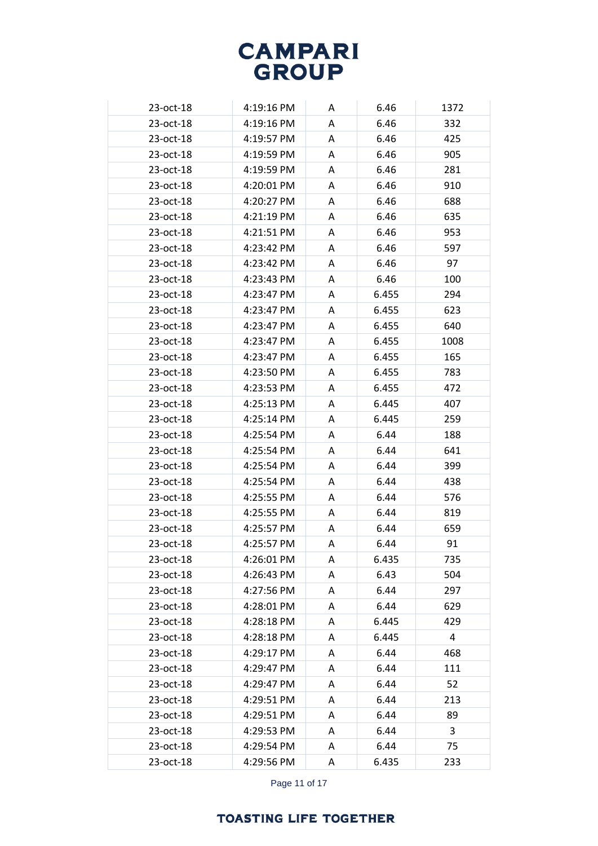| 23-oct-18 | 4:19:16 PM | A | 6.46  | 1372 |
|-----------|------------|---|-------|------|
| 23-oct-18 | 4:19:16 PM | A | 6.46  | 332  |
| 23-oct-18 | 4:19:57 PM | A | 6.46  | 425  |
| 23-oct-18 | 4:19:59 PM | A | 6.46  | 905  |
| 23-oct-18 | 4:19:59 PM | A | 6.46  | 281  |
| 23-oct-18 | 4:20:01 PM | A | 6.46  | 910  |
| 23-oct-18 | 4:20:27 PM | A | 6.46  | 688  |
| 23-oct-18 | 4:21:19 PM | A | 6.46  | 635  |
| 23-oct-18 | 4:21:51 PM | A | 6.46  | 953  |
| 23-oct-18 | 4:23:42 PM | A | 6.46  | 597  |
| 23-oct-18 | 4:23:42 PM | A | 6.46  | 97   |
| 23-oct-18 | 4:23:43 PM | A | 6.46  | 100  |
| 23-oct-18 | 4:23:47 PM | A | 6.455 | 294  |
| 23-oct-18 | 4:23:47 PM | A | 6.455 | 623  |
| 23-oct-18 | 4:23:47 PM | A | 6.455 | 640  |
| 23-oct-18 | 4:23:47 PM | A | 6.455 | 1008 |
| 23-oct-18 | 4:23:47 PM | A | 6.455 | 165  |
| 23-oct-18 | 4:23:50 PM | A | 6.455 | 783  |
| 23-oct-18 | 4:23:53 PM | A | 6.455 | 472  |
| 23-oct-18 | 4:25:13 PM | A | 6.445 | 407  |
| 23-oct-18 | 4:25:14 PM | A | 6.445 | 259  |
| 23-oct-18 | 4:25:54 PM | A | 6.44  | 188  |
| 23-oct-18 | 4:25:54 PM | A | 6.44  | 641  |
| 23-oct-18 | 4:25:54 PM | A | 6.44  | 399  |
| 23-oct-18 | 4:25:54 PM | Α | 6.44  | 438  |
| 23-oct-18 | 4:25:55 PM | A | 6.44  | 576  |
| 23-oct-18 | 4:25:55 PM | A | 6.44  | 819  |
| 23-oct-18 | 4:25:57 PM | A | 6.44  | 659  |
| 23-oct-18 | 4:25:57 PM | A | 6.44  | 91   |
| 23-oct-18 | 4:26:01 PM | A | 6.435 | 735  |
| 23-oct-18 | 4:26:43 PM | A | 6.43  | 504  |
| 23-oct-18 | 4:27:56 PM | A | 6.44  | 297  |
| 23-oct-18 | 4:28:01 PM | Α | 6.44  | 629  |
| 23-oct-18 | 4:28:18 PM | A | 6.445 | 429  |
| 23-oct-18 | 4:28:18 PM | Α | 6.445 | 4    |
| 23-oct-18 | 4:29:17 PM | A | 6.44  | 468  |
| 23-oct-18 | 4:29:47 PM | A | 6.44  | 111  |
| 23-oct-18 | 4:29:47 PM | A | 6.44  | 52   |
| 23-oct-18 | 4:29:51 PM | A | 6.44  | 213  |
| 23-oct-18 | 4:29:51 PM | A | 6.44  | 89   |
| 23-oct-18 | 4:29:53 PM | A | 6.44  | 3    |
| 23-oct-18 | 4:29:54 PM | Α | 6.44  | 75   |
| 23-oct-18 | 4:29:56 PM | Α | 6.435 | 233  |

Page 11 of 17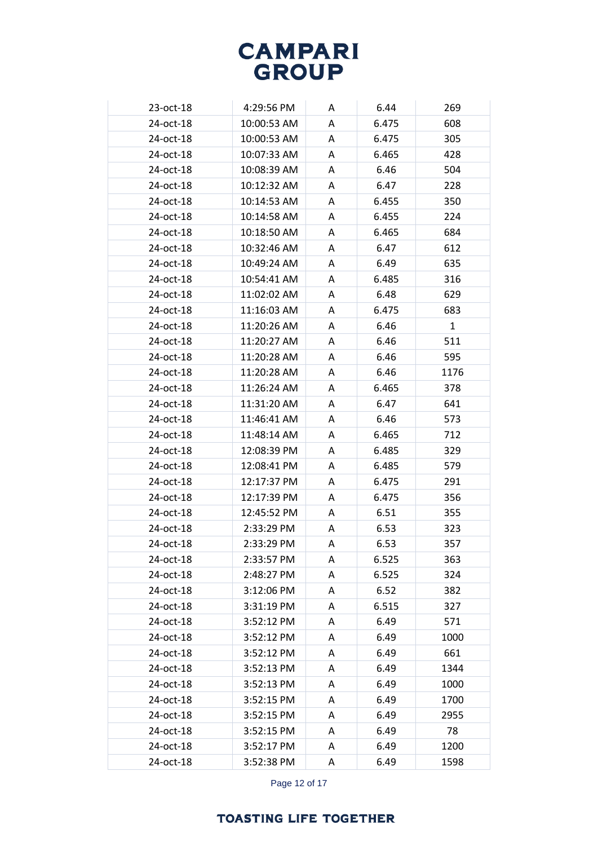| 23-oct-18 | 4:29:56 PM  | A | 6.44  | 269          |
|-----------|-------------|---|-------|--------------|
| 24-oct-18 | 10:00:53 AM | A | 6.475 | 608          |
| 24-oct-18 | 10:00:53 AM | A | 6.475 | 305          |
| 24-oct-18 | 10:07:33 AM | A | 6.465 | 428          |
| 24-oct-18 | 10:08:39 AM | A | 6.46  | 504          |
| 24-oct-18 | 10:12:32 AM | A | 6.47  | 228          |
| 24-oct-18 | 10:14:53 AM | Α | 6.455 | 350          |
| 24-oct-18 | 10:14:58 AM | A | 6.455 | 224          |
| 24-oct-18 | 10:18:50 AM | A | 6.465 | 684          |
| 24-oct-18 | 10:32:46 AM | Α | 6.47  | 612          |
| 24-oct-18 | 10:49:24 AM | Α | 6.49  | 635          |
| 24-oct-18 | 10:54:41 AM | A | 6.485 | 316          |
| 24-oct-18 | 11:02:02 AM | Α | 6.48  | 629          |
| 24-oct-18 | 11:16:03 AM | Α | 6.475 | 683          |
| 24-oct-18 | 11:20:26 AM | A | 6.46  | $\mathbf{1}$ |
| 24-oct-18 | 11:20:27 AM | A | 6.46  | 511          |
| 24-oct-18 | 11:20:28 AM | Α | 6.46  | 595          |
| 24-oct-18 | 11:20:28 AM | A | 6.46  | 1176         |
| 24-oct-18 | 11:26:24 AM | A | 6.465 | 378          |
| 24-oct-18 | 11:31:20 AM | A | 6.47  | 641          |
| 24-oct-18 | 11:46:41 AM | A | 6.46  | 573          |
| 24-oct-18 | 11:48:14 AM | A | 6.465 | 712          |
| 24-oct-18 | 12:08:39 PM | Α | 6.485 | 329          |
| 24-oct-18 | 12:08:41 PM | A | 6.485 | 579          |
| 24-oct-18 | 12:17:37 PM | Α | 6.475 | 291          |
| 24-oct-18 | 12:17:39 PM | A | 6.475 | 356          |
| 24-oct-18 | 12:45:52 PM | A | 6.51  | 355          |
| 24-oct-18 | 2:33:29 PM  | Α | 6.53  | 323          |
| 24-oct-18 | 2:33:29 PM  | A | 6.53  | 357          |
| 24-oct-18 | 2:33:57 PM  | Α | 6.525 | 363          |
| 24-oct-18 | 2:48:27 PM  | Α | 6.525 | 324          |
| 24-oct-18 | 3:12:06 PM  | Α | 6.52  | 382          |
| 24-oct-18 | 3:31:19 PM  | A | 6.515 | 327          |
| 24-oct-18 | 3:52:12 PM  | A | 6.49  | 571          |
| 24-oct-18 | 3:52:12 PM  | A | 6.49  | 1000         |
| 24-oct-18 | 3:52:12 PM  | A | 6.49  | 661          |
| 24-oct-18 | 3:52:13 PM  | Α | 6.49  | 1344         |
| 24-oct-18 | 3:52:13 PM  | A | 6.49  | 1000         |
| 24-oct-18 | 3:52:15 PM  | A | 6.49  | 1700         |
| 24-oct-18 | 3:52:15 PM  | Α | 6.49  | 2955         |
| 24-oct-18 | 3:52:15 PM  | Α | 6.49  | 78           |
| 24-oct-18 | 3:52:17 PM  | Α | 6.49  | 1200         |
| 24-oct-18 | 3:52:38 PM  | Α | 6.49  | 1598         |

Page 12 of 17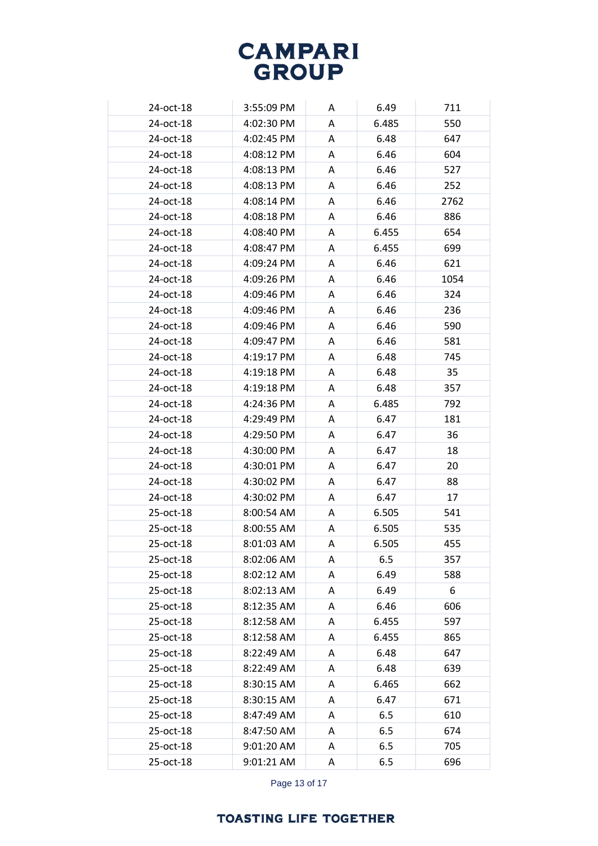| 24-oct-18 | 3:55:09 PM | A | 6.49  | 711  |
|-----------|------------|---|-------|------|
| 24-oct-18 | 4:02:30 PM | A | 6.485 | 550  |
| 24-oct-18 | 4:02:45 PM | A | 6.48  | 647  |
| 24-oct-18 | 4:08:12 PM | A | 6.46  | 604  |
| 24-oct-18 | 4:08:13 PM | A | 6.46  | 527  |
| 24-oct-18 | 4:08:13 PM | A | 6.46  | 252  |
| 24-oct-18 | 4:08:14 PM | A | 6.46  | 2762 |
| 24-oct-18 | 4:08:18 PM | A | 6.46  | 886  |
| 24-oct-18 | 4:08:40 PM | Α | 6.455 | 654  |
| 24-oct-18 | 4:08:47 PM | A | 6.455 | 699  |
| 24-oct-18 | 4:09:24 PM | A | 6.46  | 621  |
| 24-oct-18 | 4:09:26 PM | A | 6.46  | 1054 |
| 24-oct-18 | 4:09:46 PM | A | 6.46  | 324  |
| 24-oct-18 | 4:09:46 PM | A | 6.46  | 236  |
| 24-oct-18 | 4:09:46 PM | A | 6.46  | 590  |
| 24-oct-18 | 4:09:47 PM | A | 6.46  | 581  |
| 24-oct-18 | 4:19:17 PM | A | 6.48  | 745  |
| 24-oct-18 | 4:19:18 PM | A | 6.48  | 35   |
| 24-oct-18 | 4:19:18 PM | A | 6.48  | 357  |
| 24-oct-18 | 4:24:36 PM | A | 6.485 | 792  |
| 24-oct-18 | 4:29:49 PM | Α | 6.47  | 181  |
| 24-oct-18 | 4:29:50 PM | A | 6.47  | 36   |
| 24-oct-18 | 4:30:00 PM | A | 6.47  | 18   |
| 24-oct-18 | 4:30:01 PM | A | 6.47  | 20   |
| 24-oct-18 | 4:30:02 PM | Α | 6.47  | 88   |
| 24-oct-18 | 4:30:02 PM | Α | 6.47  | 17   |
| 25-oct-18 | 8:00:54 AM | A | 6.505 | 541  |
| 25-oct-18 | 8:00:55 AM | A | 6.505 | 535  |
| 25-oct-18 | 8:01:03 AM | A | 6.505 | 455  |
| 25-oct-18 | 8:02:06 AM | A | 6.5   | 357  |
| 25-oct-18 | 8:02:12 AM | A | 6.49  | 588  |
| 25-oct-18 | 8:02:13 AM | A | 6.49  | 6    |
| 25-oct-18 | 8:12:35 AM | Α | 6.46  | 606  |
| 25-oct-18 | 8:12:58 AM | A | 6.455 | 597  |
| 25-oct-18 | 8:12:58 AM | A | 6.455 | 865  |
| 25-oct-18 | 8:22:49 AM | A | 6.48  | 647  |
| 25-oct-18 | 8:22:49 AM | A | 6.48  | 639  |
| 25-oct-18 | 8:30:15 AM | Α | 6.465 | 662  |
| 25-oct-18 | 8:30:15 AM | A | 6.47  | 671  |
| 25-oct-18 | 8:47:49 AM | A | 6.5   | 610  |
| 25-oct-18 | 8:47:50 AM | A | 6.5   | 674  |
| 25-oct-18 | 9:01:20 AM | A | 6.5   | 705  |
| 25-oct-18 | 9:01:21 AM | Α | 6.5   | 696  |

Page 13 of 17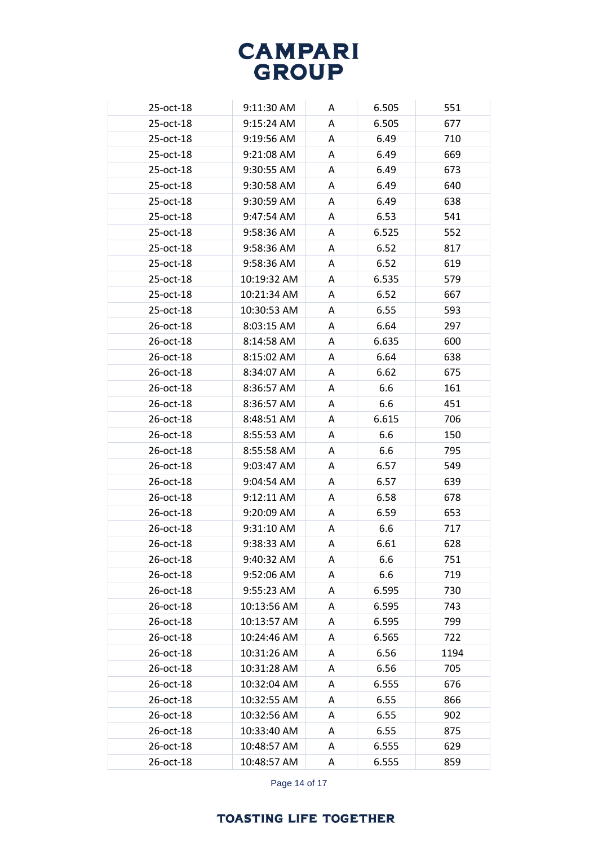| 25-oct-18    | 9:11:30 AM  | A | 6.505 | 551  |
|--------------|-------------|---|-------|------|
| 25-oct-18    | 9:15:24 AM  | A | 6.505 | 677  |
| 25-oct-18    | 9:19:56 AM  | Α | 6.49  | 710  |
| $25$ -oct-18 | 9:21:08 AM  | A | 6.49  | 669  |
| 25-oct-18    | 9:30:55 AM  | A | 6.49  | 673  |
| 25-oct-18    | 9:30:58 AM  | Α | 6.49  | 640  |
| 25-oct-18    | 9:30:59 AM  | A | 6.49  | 638  |
| $25$ -oct-18 | 9:47:54 AM  | A | 6.53  | 541  |
| 25-oct-18    | 9:58:36 AM  | Α | 6.525 | 552  |
| 25-oct-18    | 9:58:36 AM  | A | 6.52  | 817  |
| $25$ -oct-18 | 9:58:36 AM  | Α | 6.52  | 619  |
| 25-oct-18    | 10:19:32 AM | A | 6.535 | 579  |
| 25-oct-18    | 10:21:34 AM | A | 6.52  | 667  |
| 25-oct-18    | 10:30:53 AM | A | 6.55  | 593  |
| 26-oct-18    | 8:03:15 AM  | A | 6.64  | 297  |
| 26-oct-18    | 8:14:58 AM  | A | 6.635 | 600  |
| 26-oct-18    | 8:15:02 AM  | A | 6.64  | 638  |
| $26$ -oct-18 | 8:34:07 AM  | A | 6.62  | 675  |
| 26-oct-18    | 8:36:57 AM  | Α | 6.6   | 161  |
| 26-oct-18    | 8:36:57 AM  | Α | 6.6   | 451  |
| $26$ -oct-18 | 8:48:51 AM  | Α | 6.615 | 706  |
| 26-oct-18    | 8:55:53 AM  | A | 6.6   | 150  |
| 26-oct-18    | 8:55:58 AM  | Α | 6.6   | 795  |
| 26-oct-18    | 9:03:47 AM  | Α | 6.57  | 549  |
| $26$ -oct-18 | 9:04:54 AM  | A | 6.57  | 639  |
| 26-oct-18    | 9:12:11 AM  | A | 6.58  | 678  |
| 26-oct-18    | 9:20:09 AM  | A | 6.59  | 653  |
| 26-oct-18    | 9:31:10 AM  | A | 6.6   | 717  |
| 26-oct-18    | 9:38:33 AM  | A | 6.61  | 628  |
| 26-oct-18    | 9:40:32 AM  | A | 6.6   | 751  |
| 26-oct-18    | 9:52:06 AM  | A | 6.6   | 719  |
| 26-oct-18    | 9:55:23 AM  | A | 6.595 | 730  |
| 26-oct-18    | 10:13:56 AM | Α | 6.595 | 743  |
| 26-oct-18    | 10:13:57 AM | A | 6.595 | 799  |
| 26-oct-18    | 10:24:46 AM | Α | 6.565 | 722  |
| 26-oct-18    | 10:31:26 AM | A | 6.56  | 1194 |
| 26-oct-18    | 10:31:28 AM | A | 6.56  | 705  |
| 26-oct-18    | 10:32:04 AM | Α | 6.555 | 676  |
| 26-oct-18    | 10:32:55 AM | Α | 6.55  | 866  |
| 26-oct-18    | 10:32:56 AM | Α | 6.55  | 902  |
| 26-oct-18    | 10:33:40 AM | Α | 6.55  | 875  |
| 26-oct-18    | 10:48:57 AM | A | 6.555 | 629  |
| 26-oct-18    | 10:48:57 AM | Α | 6.555 | 859  |

Page 14 of 17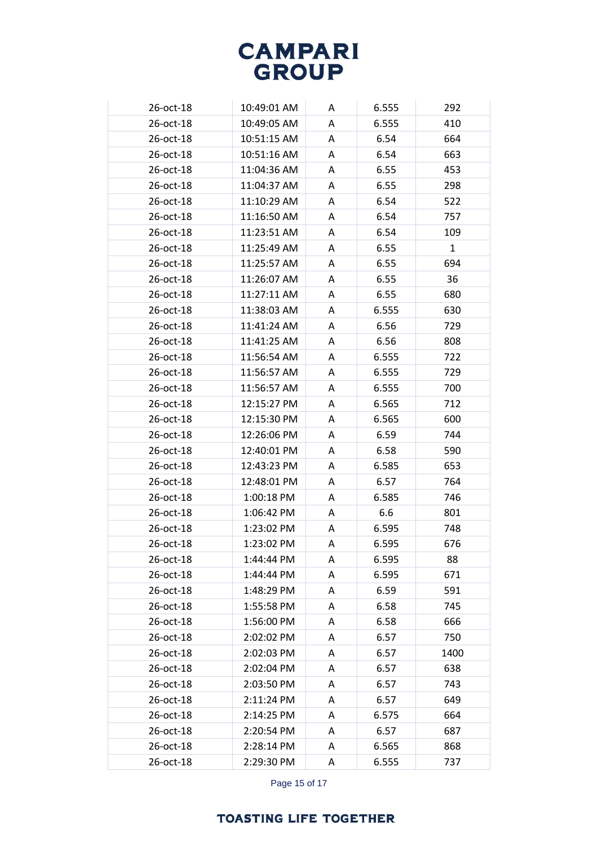| 26-oct-18 | 10:49:01 AM | A | 6.555 | 292          |
|-----------|-------------|---|-------|--------------|
| 26-oct-18 | 10:49:05 AM | A | 6.555 | 410          |
| 26-oct-18 | 10:51:15 AM | A | 6.54  | 664          |
| 26-oct-18 | 10:51:16 AM | A | 6.54  | 663          |
| 26-oct-18 | 11:04:36 AM | A | 6.55  | 453          |
| 26-oct-18 | 11:04:37 AM | A | 6.55  | 298          |
| 26-oct-18 | 11:10:29 AM | A | 6.54  | 522          |
| 26-oct-18 | 11:16:50 AM | A | 6.54  | 757          |
| 26-oct-18 | 11:23:51 AM | A | 6.54  | 109          |
| 26-oct-18 | 11:25:49 AM | A | 6.55  | $\mathbf{1}$ |
| 26-oct-18 | 11:25:57 AM | A | 6.55  | 694          |
| 26-oct-18 | 11:26:07 AM | A | 6.55  | 36           |
| 26-oct-18 | 11:27:11 AM | A | 6.55  | 680          |
| 26-oct-18 | 11:38:03 AM | A | 6.555 | 630          |
| 26-oct-18 | 11:41:24 AM | A | 6.56  | 729          |
| 26-oct-18 | 11:41:25 AM | A | 6.56  | 808          |
| 26-oct-18 | 11:56:54 AM | A | 6.555 | 722          |
| 26-oct-18 | 11:56:57 AM | A | 6.555 | 729          |
| 26-oct-18 | 11:56:57 AM | A | 6.555 | 700          |
| 26-oct-18 | 12:15:27 PM | A | 6.565 | 712          |
| 26-oct-18 | 12:15:30 PM | A | 6.565 | 600          |
| 26-oct-18 | 12:26:06 PM | A | 6.59  | 744          |
| 26-oct-18 | 12:40:01 PM | A | 6.58  | 590          |
| 26-oct-18 | 12:43:23 PM | A | 6.585 | 653          |
| 26-oct-18 | 12:48:01 PM | A | 6.57  | 764          |
| 26-oct-18 | 1:00:18 PM  | A | 6.585 | 746          |
| 26-oct-18 | 1:06:42 PM  | A | 6.6   | 801          |
| 26-oct-18 | 1:23:02 PM  | A | 6.595 | 748          |
| 26-oct-18 | 1:23:02 PM  | Α | 6.595 | 676          |
| 26-oct-18 | 1:44:44 PM  | A | 6.595 | 88           |
| 26-oct-18 | 1:44:44 PM  | A | 6.595 | 671          |
| 26-oct-18 | 1:48:29 PM  | A | 6.59  | 591          |
| 26-oct-18 | 1:55:58 PM  | A | 6.58  | 745          |
| 26-oct-18 | 1:56:00 PM  | A | 6.58  | 666          |
| 26-oct-18 | 2:02:02 PM  | A | 6.57  | 750          |
| 26-oct-18 | 2:02:03 PM  | A | 6.57  | 1400         |
| 26-oct-18 | 2:02:04 PM  | A | 6.57  | 638          |
| 26-oct-18 | 2:03:50 PM  | A | 6.57  | 743          |
| 26-oct-18 | 2:11:24 PM  | A | 6.57  | 649          |
| 26-oct-18 | 2:14:25 PM  | A | 6.575 | 664          |
| 26-oct-18 | 2:20:54 PM  | A | 6.57  | 687          |
| 26-oct-18 | 2:28:14 PM  | A | 6.565 | 868          |
| 26-oct-18 | 2:29:30 PM  | A | 6.555 | 737          |
|           |             |   |       |              |

Page 15 of 17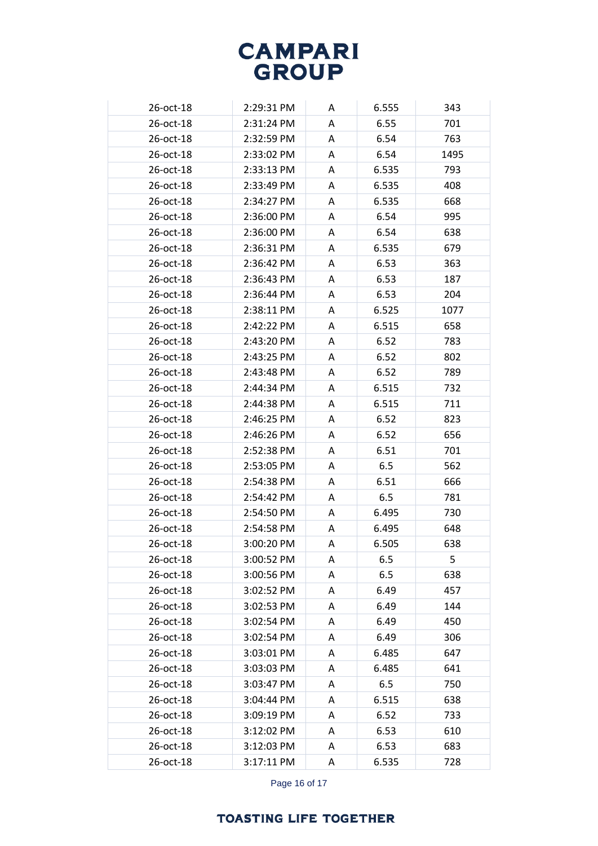| 26-oct-18       | 2:29:31 PM | A | 6.555 | 343  |
|-----------------|------------|---|-------|------|
| 26-oct-18       | 2:31:24 PM | A | 6.55  | 701  |
| 26-oct-18       | 2:32:59 PM | A | 6.54  | 763  |
| 26-oct-18       | 2:33:02 PM | A | 6.54  | 1495 |
| $26$ -oct-18    | 2:33:13 PM | A | 6.535 | 793  |
| 26-oct-18       | 2:33:49 PM | A | 6.535 | 408  |
| 26-oct-18       | 2:34:27 PM | A | 6.535 | 668  |
| 26-oct-18       | 2:36:00 PM | A | 6.54  | 995  |
| 26-oct-18       | 2:36:00 PM | Α | 6.54  | 638  |
| 26-oct-18       | 2:36:31 PM | A | 6.535 | 679  |
| 26-oct-18       | 2:36:42 PM | A | 6.53  | 363  |
| 26-oct-18       | 2:36:43 PM | A | 6.53  | 187  |
| 26-oct-18       | 2:36:44 PM | A | 6.53  | 204  |
| 26-oct-18       | 2:38:11 PM | A | 6.525 | 1077 |
| 26-oct-18       | 2:42:22 PM | A | 6.515 | 658  |
| 26-oct-18       | 2:43:20 PM | A | 6.52  | 783  |
| 26-oct-18       | 2:43:25 PM | A | 6.52  | 802  |
| 26-oct-18       | 2:43:48 PM | A | 6.52  | 789  |
| 26-oct-18       | 2:44:34 PM | A | 6.515 | 732  |
| 26-oct-18       | 2:44:38 PM | A | 6.515 | 711  |
| 26-oct-18       | 2:46:25 PM | Α | 6.52  | 823  |
| 26-oct-18       | 2:46:26 PM | A | 6.52  | 656  |
| 26-oct-18       | 2:52:38 PM | A | 6.51  | 701  |
| 26-oct-18       | 2:53:05 PM | A | 6.5   | 562  |
| 26-oct-18       | 2:54:38 PM | A | 6.51  | 666  |
| 26-oct-18       | 2:54:42 PM | A | 6.5   | 781  |
| 26-oct-18       | 2:54:50 PM | A | 6.495 | 730  |
| 26-oct-18       | 2:54:58 PM | Α | 6.495 | 648  |
| $26$ -oct- $18$ | 3:00:20 PM | A | 6.505 | 638  |
| 26-oct-18       | 3:00:52 PM | A | 6.5   | 5    |
| 26-oct-18       | 3:00:56 PM | A | 6.5   | 638  |
| 26-oct-18       | 3:02:52 PM | A | 6.49  | 457  |
| 26-oct-18       | 3:02:53 PM | Α | 6.49  | 144  |
| 26-oct-18       | 3:02:54 PM | A | 6.49  | 450  |
| 26-oct-18       | 3:02:54 PM | A | 6.49  | 306  |
| 26-oct-18       | 3:03:01 PM | A | 6.485 | 647  |
| 26-oct-18       | 3:03:03 PM | A | 6.485 | 641  |
| 26-oct-18       | 3:03:47 PM | A | 6.5   | 750  |
| 26-oct-18       | 3:04:44 PM | A | 6.515 | 638  |
| 26-oct-18       | 3:09:19 PM | A | 6.52  | 733  |
| 26-oct-18       | 3:12:02 PM | A | 6.53  | 610  |
| 26-oct-18       | 3:12:03 PM | A | 6.53  | 683  |
| 26-oct-18       | 3:17:11 PM | Α | 6.535 | 728  |

Page 16 of 17